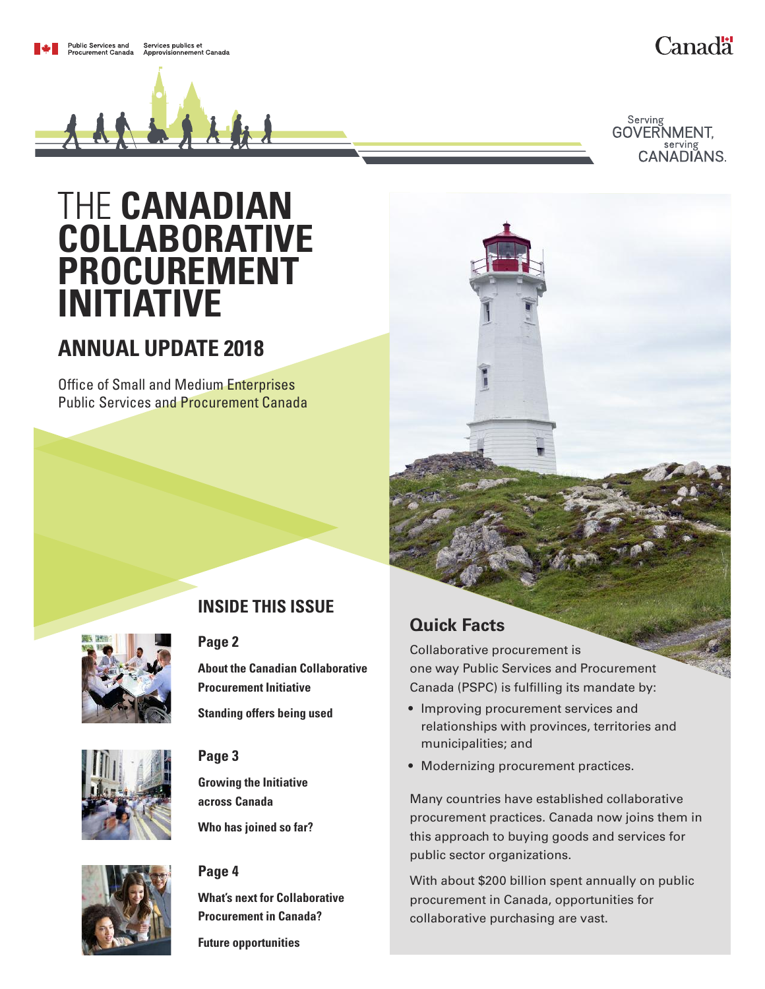# **Canadä**

Serving **GOVERNMENT.** CANADIANS.

# THE **CANADIAN COLLABORATIVE PROCUREMENT INITIATIVE**

# **ANNUAL UPDATE 2018**

**Office of Small and Medium Enterprises** Public Services and Procurement Canada



# **INSIDE THIS ISSUE**

### **[Page](#page-1-0) 2**

**About the Canadian [Collaborative](#page-1-0) [Procurement](#page-1-0) Initiative**

**Standing offers being used**



## **[Page](#page-2-0) 3**

**Growing the [Initiative](#page-2-0) across [Canada](#page-2-0)**

**Who has joined so far?**

### **[Page](#page-3-0) 4**

**What's next for [Collaborative](#page-3-0) [Procurement](#page-3-0) in Canada?**

**Future opportunities**

# **Quick Facts**

Collaborative procurement is one way Public Services and Procurement Canada (PSPC) is fulfilling its mandate by:

- Improving procurement services and relationships with provinces, territories and municipalities; and
- Modernizing procurement practices.

Many countries have established collaborative procurement practices. Canada now joins them in this approach to buying goods and services for public sector organizations.

With about \$200 billion spent annually on public procurement in Canada, opportunities for collaborative purchasing are vast.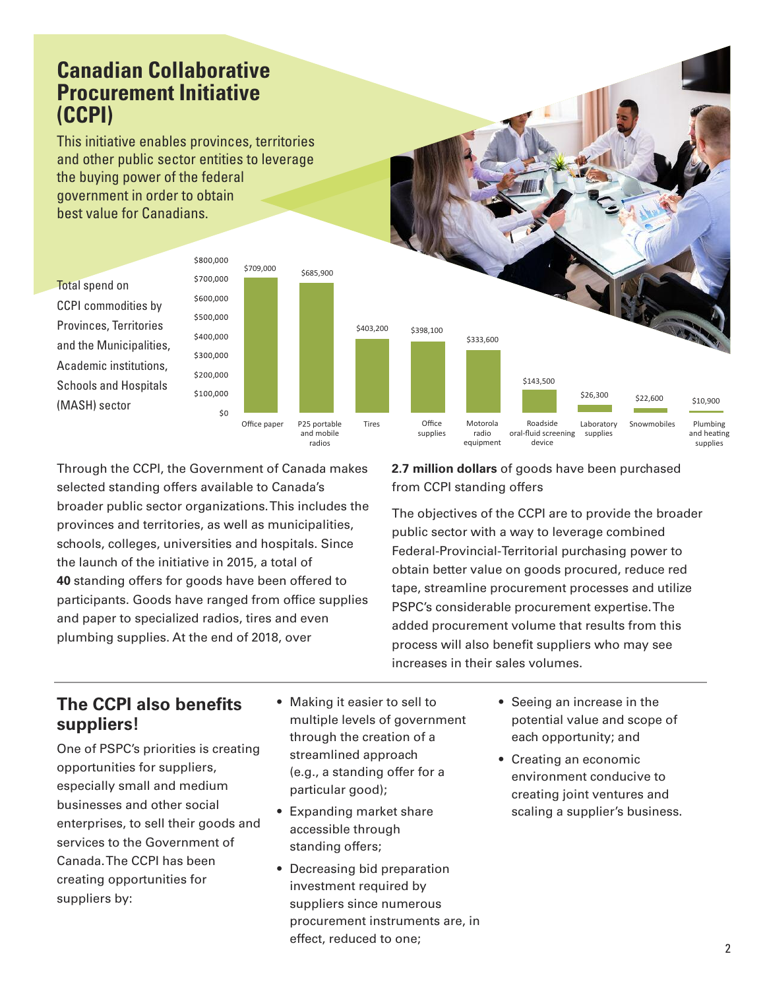# <span id="page-1-0"></span>**Canadian Collaborative Procurement Initiative (CCPI)**

This initiative enables provinces, territories and other public sector entities to leverage the buying power of the federal government in order to obtain best value for Canadians.

\$800,000

Total spend on CCPI commodities by Provinces, Territories and the Municipalities, Academic institutions, Schools and Hospitals (MASH) sector



Office paper P25 portable and mobile

radios

Through the CCPI, the Government of Canada makes selected standing offers available to Canada's broader public sector organizations.This includes the provinces and territories, as well as municipalities, schools, colleges, universities and hospitals. Since the launch of the initiative in 2015, a total of **40** standing offers for goods have been offered to participants. Goods have ranged from office supplies and paper to specialized radios, tires and even plumbing supplies. At the end of 2018, over

## **2.7 million dollars** of goods have been purchased from CCPI standing offers

\$143,500

Roadside oral-fluid screening device

Laboratory supplies

\$26,300 \$22,600 \$10,900

Snowmobiles Plumbing

and heating supplies

\$333,600

Motorola radio equipment

The objectives of the CCPI are to provide the broader public sector with a way to leverage combined Federal-Provincial-Territorial purchasing power to obtain better value on goods procured, reduce red tape, streamline procurement processes and utilize PSPC's considerable procurement expertise.The added procurement volume that results from this process will also benefit suppliers who may see increases in their sales volumes.

# **The CCPI also benefits suppliers!**

One of PSPC's priorities is creating opportunities for suppliers, especially small and medium businesses and other social enterprises, to sell their goods and services to the Government of Canada.The CCPI has been creating opportunities for suppliers by:

• Making it easier to sell to multiple levels of government through the creation of a streamlined approach (e.g., a standing offer for a particular good);

\$403,200 \$398,100

Tires Office

supplies

- Expanding market share accessible through standing offers;
- Decreasing bid preparation investment required by suppliers since numerous procurement instruments are, in effect, reduced to one;
- Seeing an increase in the potential value and scope of each opportunity; and
- Creating an economic environment conducive to creating joint ventures and scaling a supplier's business.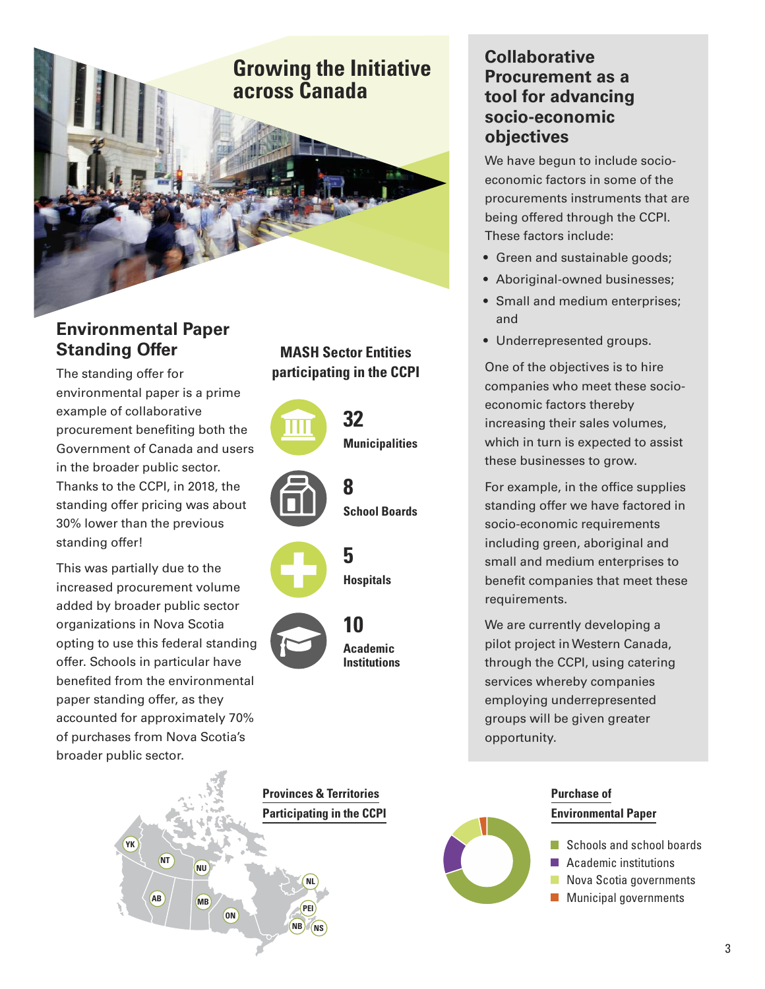# <span id="page-2-0"></span>**Growing the Initiative across Canada**

# **Environmental Paper Standing Offer**

The standing offer for environmental paper is a prime example of collaborative procurement benefiting both the Government of Canada and users in the broader public sector. Thanks to the CCPI, in 2018, the standing offer pricing was about 30% lower than the previous standing offer!

This was partially due to the increased procurement volume added by broader public sector organizations in Nova Scotia opting to use this federal standing offer. Schools in particular have benefited from the environmental paper standing offer, as they accounted for approximately 70% of purchases from Nova Scotia's broader public sector.



# **MASH Sector Entities participating in the CCPI**



**Provinces & Territories Participating in the CCPI**

## **Collaborative Procurement as a tool for advancing socio-economic objectives**

We have begun to include socioeconomic factors in some of the procurements instruments that are being offered through the CCPI. These factors include:

- Green and sustainable goods;
- Aboriginal-owned businesses;
- Small and medium enterprises; and
- Underrepresented groups.

One of the objectives is to hire companies who meet these socioeconomic factors thereby increasing their sales volumes, which in turn is expected to assist these businesses to grow.

For example, in the office supplies standing offer we have factored in socio-economic requirements including green, aboriginal and small and medium enterprises to benefit companies that meet these requirements.

We are currently developing a pilot project inWestern Canada, through the CCPI, using catering services whereby companies employing underrepresented groups will be given greater opportunity.



## **Purchase of Environmental Paper**

- Schools and school boards
- Academic institutions
- Nova Scotia governments
- **Municipal governments**